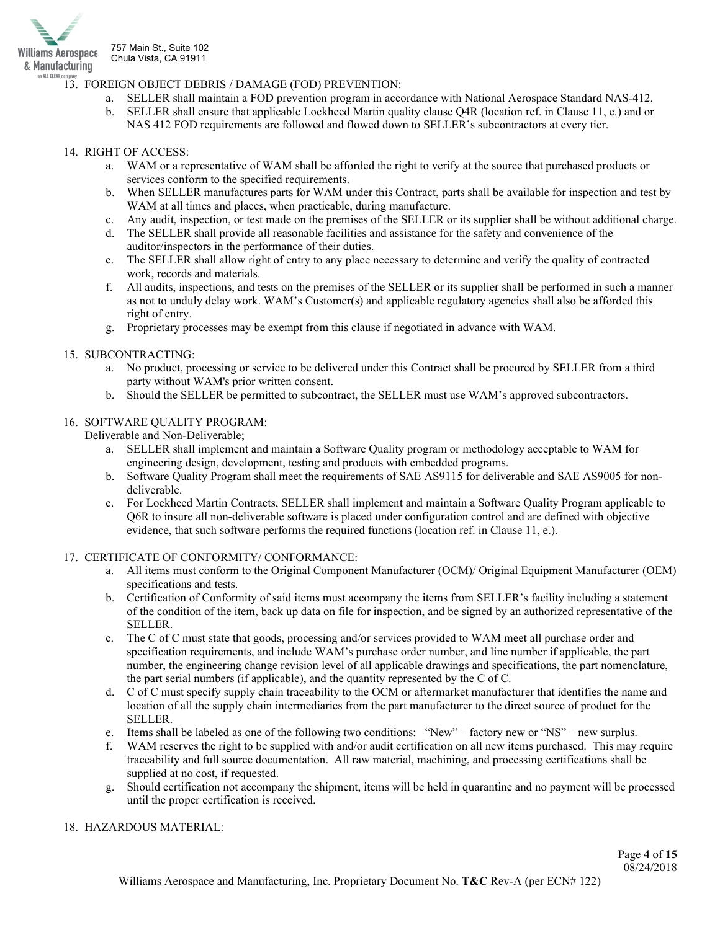

## 13. FOREIGN OBJECT DEBRIS / DAMAGE (FOD) PREVENTION:

- a. SELLER shall maintain a FOD prevention program in accordance with National Aerospace Standard NAS-412.
- b. SELLER shall ensure that applicable Lockheed Martin quality clause Q4R (location ref. in Clause 11, e.) and or NAS 412 FOD requirements are followed and flowed down to SELLER's subcontractors at every tier.

### 14. RIGHT OF ACCESS:

- a. WAM or a representative of WAM shall be afforded the right to verify at the source that purchased products or services conform to the specified requirements.
- b. When SELLER manufactures parts for WAM under this Contract, parts shall be available for inspection and test by WAM at all times and places, when practicable, during manufacture.
- c. Any audit, inspection, or test made on the premises of the SELLER or its supplier shall be without additional charge.
- d. The SELLER shall provide all reasonable facilities and assistance for the safety and convenience of the auditor/inspectors in the performance of their duties.
- e. The SELLER shall allow right of entry to any place necessary to determine and verify the quality of contracted work, records and materials.
- f. All audits, inspections, and tests on the premises of the SELLER or its supplier shall be performed in such a manner as not to unduly delay work. WAM's Customer(s) and applicable regulatory agencies shall also be afforded this right of entry.
- g. Proprietary processes may be exempt from this clause if negotiated in advance with WAM.

#### 15. SUBCONTRACTING:

- a. No product, processing or service to be delivered under this Contract shall be procured by SELLER from a third party without WAM's prior written consent.
- b. Should the SELLER be permitted to subcontract, the SELLER must use WAM's approved subcontractors.

## 16. SOFTWARE QUALITY PROGRAM:

Deliverable and Non-Deliverable;

- a. SELLER shall implement and maintain a Software Quality program or methodology acceptable to WAM for engineering design, development, testing and products with embedded programs.
- b. Software Quality Program shall meet the requirements of SAE AS9115 for deliverable and SAE AS9005 for nondeliverable.
- c. For Lockheed Martin Contracts, SELLER shall implement and maintain a Software Quality Program applicable to Q6R to insure all non-deliverable software is placed under configuration control and are defined with objective evidence, that such software performs the required functions (location ref. in Clause 11, e.).

#### 17. CERTIFICATE OF CONFORMITY/ CONFORMANCE:

- a. All items must conform to the Original Component Manufacturer (OCM)/ Original Equipment Manufacturer (OEM) specifications and tests.
- b. Certification of Conformity of said items must accompany the items from SELLER's facility including a statement of the condition of the item, back up data on file for inspection, and be signed by an authorized representative of the SELLER.
- c. The C of C must state that goods, processing and/or services provided to WAM meet all purchase order and specification requirements, and include WAM's purchase order number, and line number if applicable, the part number, the engineering change revision level of all applicable drawings and specifications, the part nomenclature, the part serial numbers (if applicable), and the quantity represented by the C of C.
- d. C of C must specify supply chain traceability to the OCM or aftermarket manufacturer that identifies the name and location of all the supply chain intermediaries from the part manufacturer to the direct source of product for the SELLER.
- e. Items shall be labeled as one of the following two conditions: "New" factory new  $or$  "NS" new surplus.</u>
- f. WAM reserves the right to be supplied with and/or audit certification on all new items purchased. This may require traceability and full source documentation. All raw material, machining, and processing certifications shall be supplied at no cost, if requested.
- g. Should certification not accompany the shipment, items will be held in quarantine and no payment will be processed until the proper certification is received.

### 18. HAZARDOUS MATERIAL: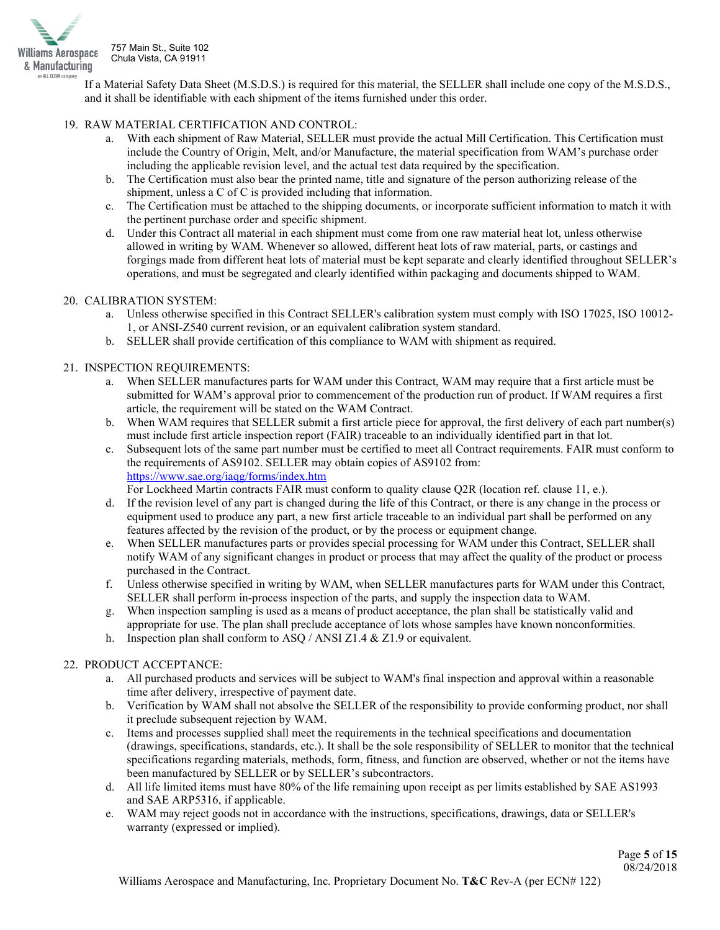

If a Material Safety Data Sheet (M.S.D.S.) is required for this material, the SELLER shall include one copy of the M.S.D.S., and it shall be identifiable with each shipment of the items furnished under this order.

## 19. RAW MATERIAL CERTIFICATION AND CONTROL:

- a. With each shipment of Raw Material, SELLER must provide the actual Mill Certification. This Certification must include the Country of Origin, Melt, and/or Manufacture, the material specification from WAM's purchase order including the applicable revision level, and the actual test data required by the specification.
- b. The Certification must also bear the printed name, title and signature of the person authorizing release of the shipment, unless a C of C is provided including that information.
- c. The Certification must be attached to the shipping documents, or incorporate sufficient information to match it with the pertinent purchase order and specific shipment.
- d. Under this Contract all material in each shipment must come from one raw material heat lot, unless otherwise allowed in writing by WAM. Whenever so allowed, different heat lots of raw material, parts, or castings and forgings made from different heat lots of material must be kept separate and clearly identified throughout SELLER's operations, and must be segregated and clearly identified within packaging and documents shipped to WAM.

#### 20. CALIBRATION SYSTEM:

- a. Unless otherwise specified in this Contract SELLER's calibration system must comply with ISO 17025, ISO 10012- 1, or ANSI-Z540 current revision, or an equivalent calibration system standard.
- b. SELLER shall provide certification of this compliance to WAM with shipment as required.

## 21. INSPECTION REQUIREMENTS:

- a. When SELLER manufactures parts for WAM under this Contract, WAM may require that a first article must be submitted for WAM's approval prior to commencement of the production run of product. If WAM requires a first article, the requirement will be stated on the WAM Contract.
- b. When WAM requires that SELLER submit a first article piece for approval, the first delivery of each part number(s) must include first article inspection report (FAIR) traceable to an individually identified part in that lot.
- c. Subsequent lots of the same part number must be certified to meet all Contract requirements. FAIR must conform to the requirements of AS9102. SELLER may obtain copies of AS9102 from: <https://www.sae.org/iaqg/forms/index.htm>

For Lockheed Martin contracts FAIR must conform to quality clause Q2R (location ref. clause 11, e.).

- d. If the revision level of any part is changed during the life of this Contract, or there is any change in the process or equipment used to produce any part, a new first article traceable to an individual part shall be performed on any features affected by the revision of the product, or by the process or equipment change.
- e. When SELLER manufactures parts or provides special processing for WAM under this Contract, SELLER shall notify WAM of any significant changes in product or process that may affect the quality of the product or process purchased in the Contract.
- f. Unless otherwise specified in writing by WAM, when SELLER manufactures parts for WAM under this Contract, SELLER shall perform in-process inspection of the parts, and supply the inspection data to WAM.
- g. When inspection sampling is used as a means of product acceptance, the plan shall be statistically valid and appropriate for use. The plan shall preclude acceptance of lots whose samples have known nonconformities.
- h. Inspection plan shall conform to ASQ / ANSI Z1.4  $&$  Z1.9 or equivalent.

# 22. PRODUCT ACCEPTANCE:

- a. All purchased products and services will be subject to WAM's final inspection and approval within a reasonable time after delivery, irrespective of payment date.
- b. Verification by WAM shall not absolve the SELLER of the responsibility to provide conforming product, nor shall it preclude subsequent rejection by WAM.
- c. Items and processes supplied shall meet the requirements in the technical specifications and documentation (drawings, specifications, standards, etc.). It shall be the sole responsibility of SELLER to monitor that the technical specifications regarding materials, methods, form, fitness, and function are observed, whether or not the items have been manufactured by SELLER or by SELLER's subcontractors.
- d. All life limited items must have 80% of the life remaining upon receipt as per limits established by SAE AS1993 and SAE ARP5316, if applicable.
- e. WAM may reject goods not in accordance with the instructions, specifications, drawings, data or SELLER's warranty (expressed or implied).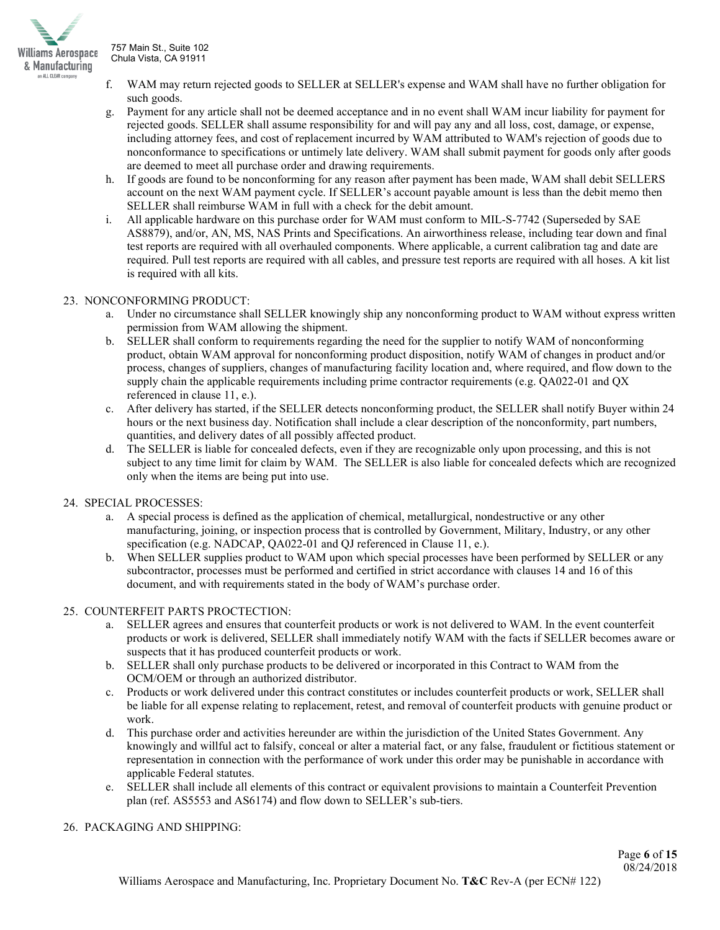

- WAM may return rejected goods to SELLER at SELLER's expense and WAM shall have no further obligation for such goods.
- g. Payment for any article shall not be deemed acceptance and in no event shall WAM incur liability for payment for rejected goods. SELLER shall assume responsibility for and will pay any and all loss, cost, damage, or expense, including attorney fees, and cost of replacement incurred by WAM attributed to WAM's rejection of goods due to nonconformance to specifications or untimely late delivery. WAM shall submit payment for goods only after goods are deemed to meet all purchase order and drawing requirements.
- h. If goods are found to be nonconforming for any reason after payment has been made, WAM shall debit SELLERS account on the next WAM payment cycle. If SELLER's account payable amount is less than the debit memo then SELLER shall reimburse WAM in full with a check for the debit amount.
- All applicable hardware on this purchase order for WAM must conform to MIL-S-7742 (Superseded by SAE AS8879), and/or, AN, MS, NAS Prints and Specifications. An airworthiness release, including tear down and final test reports are required with all overhauled components. Where applicable, a current calibration tag and date are required. Pull test reports are required with all cables, and pressure test reports are required with all hoses. A kit list is required with all kits.

## 23. NONCONFORMING PRODUCT:

- a. Under no circumstance shall SELLER knowingly ship any nonconforming product to WAM without express written permission from WAM allowing the shipment.
- b. SELLER shall conform to requirements regarding the need for the supplier to notify WAM of nonconforming product, obtain WAM approval for nonconforming product disposition, notify WAM of changes in product and/or process, changes of suppliers, changes of manufacturing facility location and, where required, and flow down to the supply chain the applicable requirements including prime contractor requirements (e.g. QA022-01 and QX referenced in clause 11, e.).
- c. After delivery has started, if the SELLER detects nonconforming product, the SELLER shall notify Buyer within 24 hours or the next business day. Notification shall include a clear description of the nonconformity, part numbers, quantities, and delivery dates of all possibly affected product.
- d. The SELLER is liable for concealed defects, even if they are recognizable only upon processing, and this is not subject to any time limit for claim by WAM. The SELLER is also liable for concealed defects which are recognized only when the items are being put into use.

#### 24. SPECIAL PROCESSES:

- a. A special process is defined as the application of chemical, metallurgical, nondestructive or any other manufacturing, joining, or inspection process that is controlled by Government, Military, Industry, or any other specification (e.g. NADCAP, QA022-01 and QJ referenced in Clause 11, e.).
- b. When SELLER supplies product to WAM upon which special processes have been performed by SELLER or any subcontractor, processes must be performed and certified in strict accordance with clauses 14 and 16 of this document, and with requirements stated in the body of WAM's purchase order.

# 25. COUNTERFEIT PARTS PROCTECTION:

- a. SELLER agrees and ensures that counterfeit products or work is not delivered to WAM. In the event counterfeit products or work is delivered, SELLER shall immediately notify WAM with the facts if SELLER becomes aware or suspects that it has produced counterfeit products or work.
- b. SELLER shall only purchase products to be delivered or incorporated in this Contract to WAM from the OCM/OEM or through an authorized distributor.
- c. Products or work delivered under this contract constitutes or includes counterfeit products or work, SELLER shall be liable for all expense relating to replacement, retest, and removal of counterfeit products with genuine product or work.
- d. This purchase order and activities hereunder are within the jurisdiction of the United States Government. Any knowingly and willful act to falsify, conceal or alter a material fact, or any false, fraudulent or fictitious statement or representation in connection with the performance of work under this order may be punishable in accordance with applicable Federal statutes.
- e. SELLER shall include all elements of this contract or equivalent provisions to maintain a Counterfeit Prevention plan (ref. AS5553 and AS6174) and flow down to SELLER's sub-tiers.

#### 26. PACKAGING AND SHIPPING: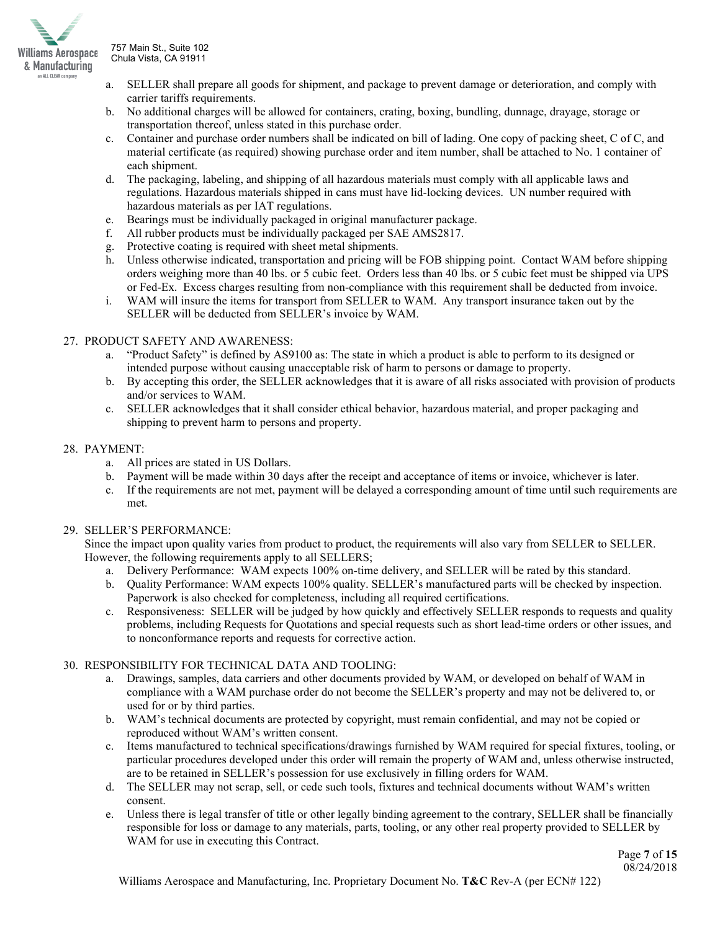

- a. SELLER shall prepare all goods for shipment, and package to prevent damage or deterioration, and comply with carrier tariffs requirements.
- b. No additional charges will be allowed for containers, crating, boxing, bundling, dunnage, drayage, storage or transportation thereof, unless stated in this purchase order.
- c. Container and purchase order numbers shall be indicated on bill of lading. One copy of packing sheet, C of C, and material certificate (as required) showing purchase order and item number, shall be attached to No. 1 container of each shipment.
- d. The packaging, labeling, and shipping of all hazardous materials must comply with all applicable laws and regulations. Hazardous materials shipped in cans must have lid-locking devices. UN number required with hazardous materials as per IAT regulations.
- e. Bearings must be individually packaged in original manufacturer package.
- f. All rubber products must be individually packaged per SAE AMS2817.
- g. Protective coating is required with sheet metal shipments.
- h. Unless otherwise indicated, transportation and pricing will be FOB shipping point. Contact WAM before shipping orders weighing more than 40 lbs. or 5 cubic feet. Orders less than 40 lbs. or 5 cubic feet must be shipped via UPS or Fed-Ex. Excess charges resulting from non-compliance with this requirement shall be deducted from invoice.
- i. WAM will insure the items for transport from SELLER to WAM. Any transport insurance taken out by the SELLER will be deducted from SELLER's invoice by WAM.

## 27. PRODUCT SAFETY AND AWARENESS:

- a. "Product Safety" is defined by AS9100 as: The state in which a product is able to perform to its designed or intended purpose without causing unacceptable risk of harm to persons or damage to property.
- b. By accepting this order, the SELLER acknowledges that it is aware of all risks associated with provision of products and/or services to WAM.
- c. SELLER acknowledges that it shall consider ethical behavior, hazardous material, and proper packaging and shipping to prevent harm to persons and property.

## 28. PAYMENT:

- a. All prices are stated in US Dollars.
- b. Payment will be made within 30 days after the receipt and acceptance of items or invoice, whichever is later.
- c. If the requirements are not met, payment will be delayed a corresponding amount of time until such requirements are met.

#### 29. SELLER'S PERFORMANCE:

Since the impact upon quality varies from product to product, the requirements will also vary from SELLER to SELLER. However, the following requirements apply to all SELLERS;

- a. Delivery Performance: WAM expects 100% on-time delivery, and SELLER will be rated by this standard.
- b. Quality Performance: WAM expects 100% quality. SELLER's manufactured parts will be checked by inspection. Paperwork is also checked for completeness, including all required certifications.
- c. Responsiveness: SELLER will be judged by how quickly and effectively SELLER responds to requests and quality problems, including Requests for Quotations and special requests such as short lead-time orders or other issues, and to nonconformance reports and requests for corrective action.

#### 30. RESPONSIBILITY FOR TECHNICAL DATA AND TOOLING:

- a. Drawings, samples, data carriers and other documents provided by WAM, or developed on behalf of WAM in compliance with a WAM purchase order do not become the SELLER's property and may not be delivered to, or used for or by third parties.
- b. WAM's technical documents are protected by copyright, must remain confidential, and may not be copied or reproduced without WAM's written consent.
- c. Items manufactured to technical specifications/drawings furnished by WAM required for special fixtures, tooling, or particular procedures developed under this order will remain the property of WAM and, unless otherwise instructed, are to be retained in SELLER's possession for use exclusively in filling orders for WAM.
- d. The SELLER may not scrap, sell, or cede such tools, fixtures and technical documents without WAM's written consent.
- e. Unless there is legal transfer of title or other legally binding agreement to the contrary, SELLER shall be financially responsible for loss or damage to any materials, parts, tooling, or any other real property provided to SELLER by WAM for use in executing this Contract.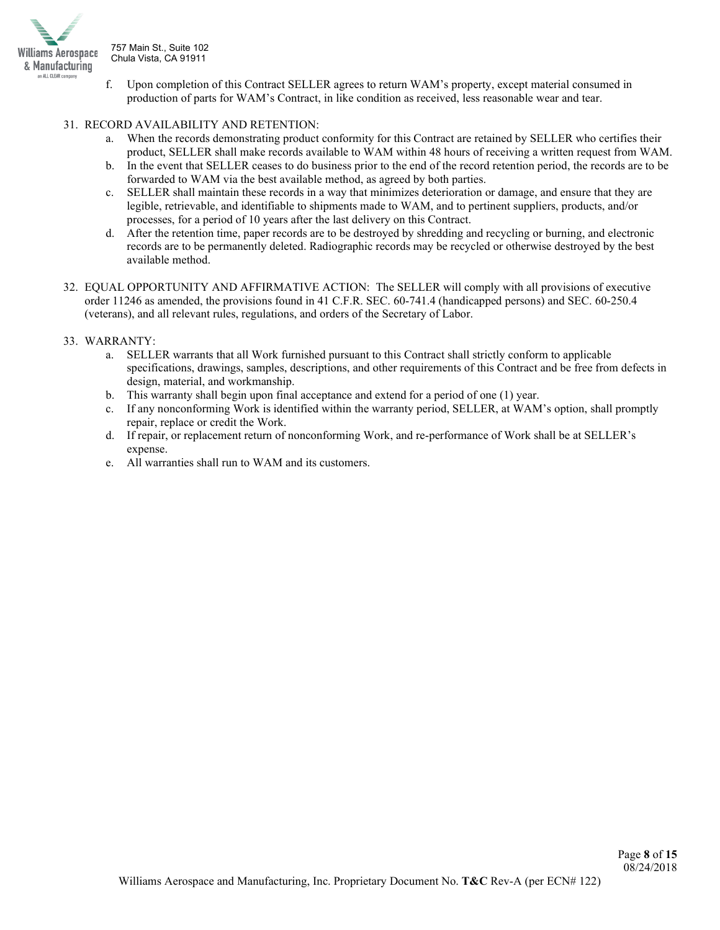

- f. Upon completion of this Contract SELLER agrees to return WAM's property, except material consumed in production of parts for WAM's Contract, in like condition as received, less reasonable wear and tear.
- 31. RECORD AVAILABILITY AND RETENTION:
	- a. When the records demonstrating product conformity for this Contract are retained by SELLER who certifies their product, SELLER shall make records available to WAM within 48 hours of receiving a written request from WAM.
	- b. In the event that SELLER ceases to do business prior to the end of the record retention period, the records are to be forwarded to WAM via the best available method, as agreed by both parties.
	- c. SELLER shall maintain these records in a way that minimizes deterioration or damage, and ensure that they are legible, retrievable, and identifiable to shipments made to WAM, and to pertinent suppliers, products, and/or processes, for a period of 10 years after the last delivery on this Contract.
	- d. After the retention time, paper records are to be destroyed by shredding and recycling or burning, and electronic records are to be permanently deleted. Radiographic records may be recycled or otherwise destroyed by the best available method.
- 32. EQUAL OPPORTUNITY AND AFFIRMATIVE ACTION: The SELLER will comply with all provisions of executive order 11246 as amended, the provisions found in 41 C.F.R. SEC. 60-741.4 (handicapped persons) and SEC. 60-250.4 (veterans), and all relevant rules, regulations, and orders of the Secretary of Labor.

## 33. WARRANTY:

- a. SELLER warrants that all Work furnished pursuant to this Contract shall strictly conform to applicable specifications, drawings, samples, descriptions, and other requirements of this Contract and be free from defects in design, material, and workmanship.
- b. This warranty shall begin upon final acceptance and extend for a period of one (1) year.
- c. If any nonconforming Work is identified within the warranty period, SELLER, at WAM's option, shall promptly repair, replace or credit the Work.
- d. If repair, or replacement return of nonconforming Work, and re-performance of Work shall be at SELLER's expense.
- e. All warranties shall run to WAM and its customers.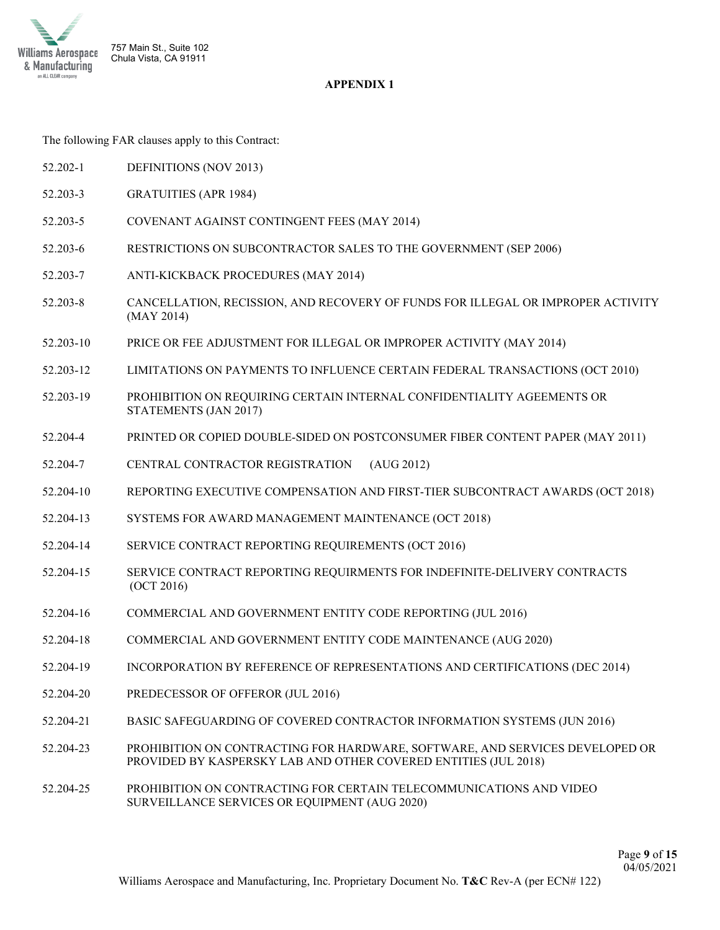

# **APPENDIX 1**

The following FAR clauses apply to this Contract:

- 52.202-1 DEFINITIONS (NOV 2013)
- 52.203-3 GRATUITIES (APR 1984)
- 52.203-5 COVENANT AGAINST CONTINGENT FEES (MAY 2014)
- 52.203-6 RESTRICTIONS ON SUBCONTRACTOR SALES TO THE GOVERNMENT (SEP 2006)
- 52.203-7 ANTI-KICKBACK PROCEDURES (MAY 2014)
- 52.203-8 CANCELLATION, RECISSION, AND RECOVERY OF FUNDS FOR ILLEGAL OR IMPROPER ACTIVITY (MAY 2014)
- 52.203-10 PRICE OR FEE ADJUSTMENT FOR ILLEGAL OR IMPROPER ACTIVITY (MAY 2014)
- 52.203-12 LIMITATIONS ON PAYMENTS TO INFLUENCE CERTAIN FEDERAL TRANSACTIONS (OCT 2010)
- 52.203-19 PROHIBITION ON REQUIRING CERTAIN INTERNAL CONFIDENTIALITY AGEEMENTS OR STATEMENTS (JAN 2017)
- 52.204-4 PRINTED OR COPIED DOUBLE-SIDED ON POSTCONSUMER FIBER CONTENT PAPER (MAY 2011)
- 52.204-7 CENTRAL CONTRACTOR REGISTRATION (AUG 2012)
- 52.204-10 REPORTING EXECUTIVE COMPENSATION AND FIRST-TIER SUBCONTRACT AWARDS (OCT 2018)
- 52.204-13 SYSTEMS FOR AWARD MANAGEMENT MAINTENANCE (OCT 2018)
- 52.204-14 SERVICE CONTRACT REPORTING REQUIREMENTS (OCT 2016)
- 52.204-15 SERVICE CONTRACT REPORTING REQUIRMENTS FOR INDEFINITE-DELIVERY CONTRACTS (OCT 2016)
- 52.204-16 COMMERCIAL AND GOVERNMENT ENTITY CODE REPORTING (JUL 2016)
- 52.204-18 COMMERCIAL AND GOVERNMENT ENTITY CODE MAINTENANCE (AUG 2020)
- 52.204-19 INCORPORATION BY REFERENCE OF REPRESENTATIONS AND CERTIFICATIONS (DEC 2014)
- 52.204-20 PREDECESSOR OF OFFEROR (JUL 2016)
- 52.204-21 BASIC SAFEGUARDING OF COVERED CONTRACTOR INFORMATION SYSTEMS (JUN 2016)
- 52.204-23 PROHIBITION ON CONTRACTING FOR HARDWARE, SOFTWARE, AND SERVICES DEVELOPED OR PROVIDED BY KASPERSKY LAB AND OTHER COVERED ENTITIES (JUL 2018)
- 52.204-25 PROHIBITION ON CONTRACTING FOR CERTAIN TELECOMMUNICATIONS AND VIDEO SURVEILLANCE SERVICES OR EQUIPMENT (AUG 2020)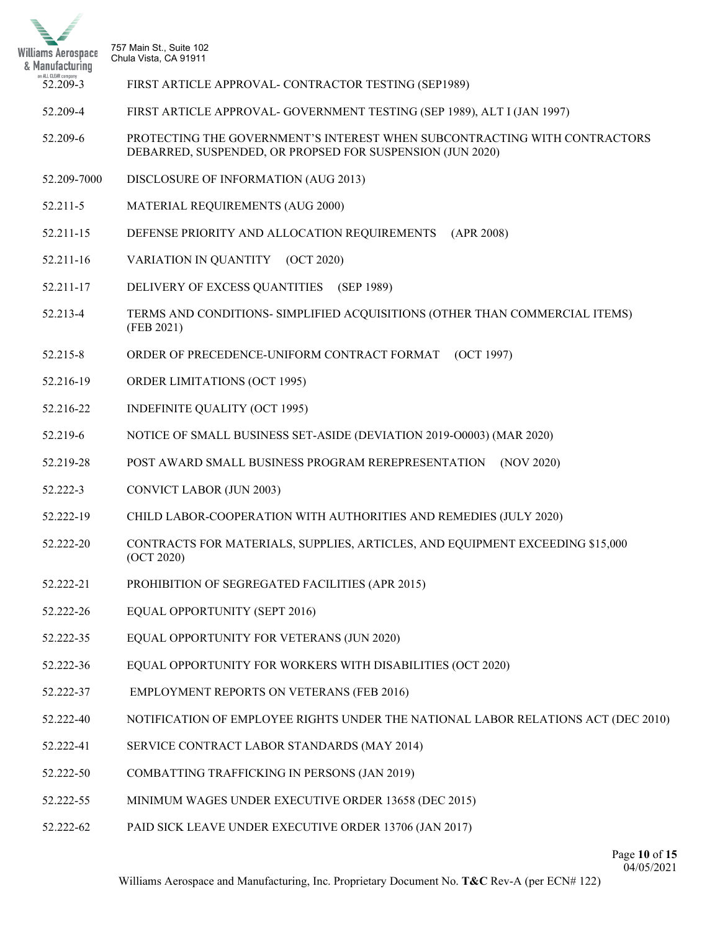

- 52.209-3 FIRST ARTICLE APPROVAL- CONTRACTOR TESTING (SEP1989)
- 52.209-4 FIRST ARTICLE APPROVAL- GOVERNMENT TESTING (SEP 1989), ALT I (JAN 1997)
- 52.209-6 PROTECTING THE GOVERNMENT'S INTEREST WHEN SUBCONTRACTING WITH CONTRACTORS DEBARRED, SUSPENDED, OR PROPSED FOR SUSPENSION (JUN 2020)
- 52.209-7000 DISCLOSURE OF INFORMATION (AUG 2013)
- 52.211-5 MATERIAL REQUIREMENTS (AUG 2000)
- 52.211-15 DEFENSE PRIORITY AND ALLOCATION REQUIREMENTS (APR 2008)
- 52.211-16 VARIATION IN QUANTITY (OCT 2020)
- 52.211-17 DELIVERY OF EXCESS QUANTITIES (SEP 1989)
- 52.213-4 TERMS AND CONDITIONS- SIMPLIFIED ACQUISITIONS (OTHER THAN COMMERCIAL ITEMS) (FEB 2021)
- 52.215-8 ORDER OF PRECEDENCE-UNIFORM CONTRACT FORMAT (OCT 1997)
- 52.216-19 ORDER LIMITATIONS (OCT 1995)
- 52.216-22 INDEFINITE QUALITY (OCT 1995)
- 52.219-6 NOTICE OF SMALL BUSINESS SET-ASIDE (DEVIATION 2019-O0003) (MAR 2020)
- 52.219-28 POST AWARD SMALL BUSINESS PROGRAM REREPRESENTATION (NOV 2020)
- 52.222-3 CONVICT LABOR (JUN 2003)
- 52.222-19 CHILD LABOR-COOPERATION WITH AUTHORITIES AND REMEDIES (JULY 2020)
- 52.222-20 CONTRACTS FOR MATERIALS, SUPPLIES, ARTICLES, AND EQUIPMENT EXCEEDING \$15,000 (OCT 2020)
- 52.222-21 PROHIBITION OF SEGREGATED FACILITIES (APR 2015)
- 52.222-26 EQUAL OPPORTUNITY (SEPT 2016)
- 52.222-35 EQUAL OPPORTUNITY FOR VETERANS (JUN 2020)
- 52.222-36 EQUAL OPPORTUNITY FOR WORKERS WITH DISABILITIES (OCT 2020)
- 52.222-37 EMPLOYMENT REPORTS ON VETERANS (FEB 2016)
- 52.222-40 NOTIFICATION OF EMPLOYEE RIGHTS UNDER THE NATIONAL LABOR RELATIONS ACT (DEC 2010)
- 52.222-41 SERVICE CONTRACT LABOR STANDARDS (MAY 2014)
- 52.222-50 COMBATTING TRAFFICKING IN PERSONS (JAN 2019)
- 52.222-55 MINIMUM WAGES UNDER EXECUTIVE ORDER 13658 (DEC 2015)
- 52.222-62 PAID SICK LEAVE UNDER EXECUTIVE ORDER 13706 (JAN 2017)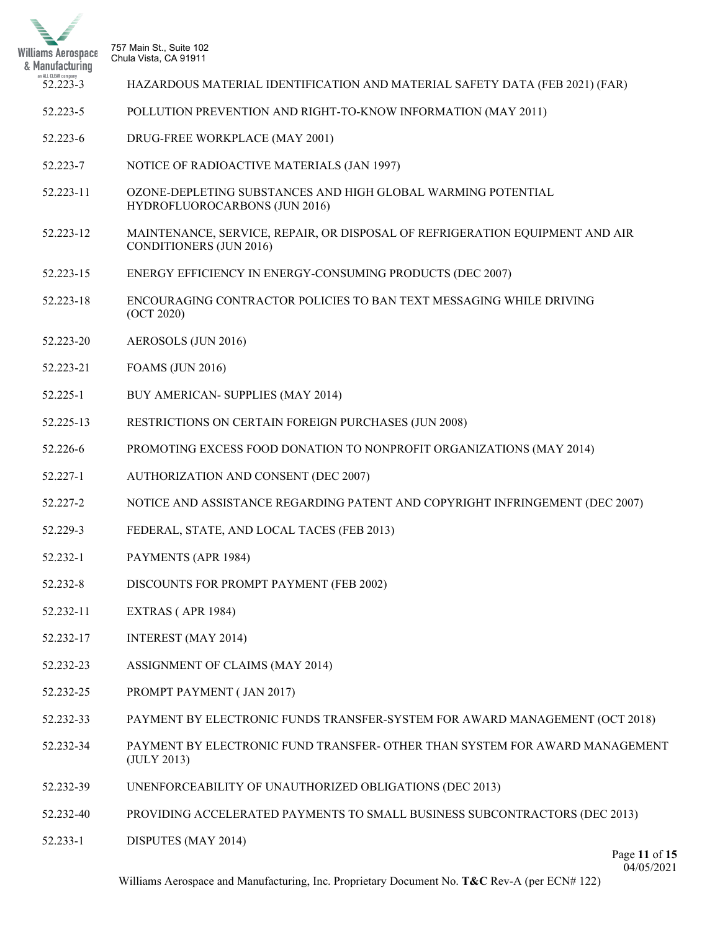

- 52.223-3 HAZARDOUS MATERIAL IDENTIFICATION AND MATERIAL SAFETY DATA (FEB 2021) (FAR)
- 52.223-5 POLLUTION PREVENTION AND RIGHT-TO-KNOW INFORMATION (MAY 2011)
- 52.223-6 DRUG-FREE WORKPLACE (MAY 2001)
- 52.223-7 NOTICE OF RADIOACTIVE MATERIALS (JAN 1997)
- 52.223-11 OZONE-DEPLETING SUBSTANCES AND HIGH GLOBAL WARMING POTENTIAL HYDROFLUOROCARBONS (JUN 2016)
- 52.223-12 MAINTENANCE, SERVICE, REPAIR, OR DISPOSAL OF REFRIGERATION EQUIPMENT AND AIR CONDITIONERS (JUN 2016)
- 52.223-15 ENERGY EFFICIENCY IN ENERGY-CONSUMING PRODUCTS (DEC 2007)
- 52.223-18 ENCOURAGING CONTRACTOR POLICIES TO BAN TEXT MESSAGING WHILE DRIVING (OCT 2020)
- 52.223-20 AEROSOLS (JUN 2016)
- 52.223-21 FOAMS (JUN 2016)
- 52.225-1 BUY AMERICAN- SUPPLIES (MAY 2014)
- 52.225-13 RESTRICTIONS ON CERTAIN FOREIGN PURCHASES (JUN 2008)
- 52.226-6 PROMOTING EXCESS FOOD DONATION TO NONPROFIT ORGANIZATIONS (MAY 2014)
- 52.227-1 AUTHORIZATION AND CONSENT (DEC 2007)
- 52.227-2 NOTICE AND ASSISTANCE REGARDING PATENT AND COPYRIGHT INFRINGEMENT (DEC 2007)
- 52.229-3 FEDERAL, STATE, AND LOCAL TACES (FEB 2013)
- 52.232-1 PAYMENTS (APR 1984)
- 52.232-8 DISCOUNTS FOR PROMPT PAYMENT (FEB 2002)
- 52.232-11 EXTRAS ( APR 1984)
- 52.232-17 INTEREST (MAY 2014)
- 52.232-23 ASSIGNMENT OF CLAIMS (MAY 2014)
- 52.232-25 PROMPT PAYMENT ( JAN 2017)
- 52.232-33 PAYMENT BY ELECTRONIC FUNDS TRANSFER-SYSTEM FOR AWARD MANAGEMENT (OCT 2018)
- 52.232-34 PAYMENT BY ELECTRONIC FUND TRANSFER- OTHER THAN SYSTEM FOR AWARD MANAGEMENT (JULY 2013)
- 52.232-39 UNENFORCEABILITY OF UNAUTHORIZED OBLIGATIONS (DEC 2013)
- 52.232-40 PROVIDING ACCELERATED PAYMENTS TO SMALL BUSINESS SUBCONTRACTORS (DEC 2013)
- 52.233-1 DISPUTES (MAY 2014)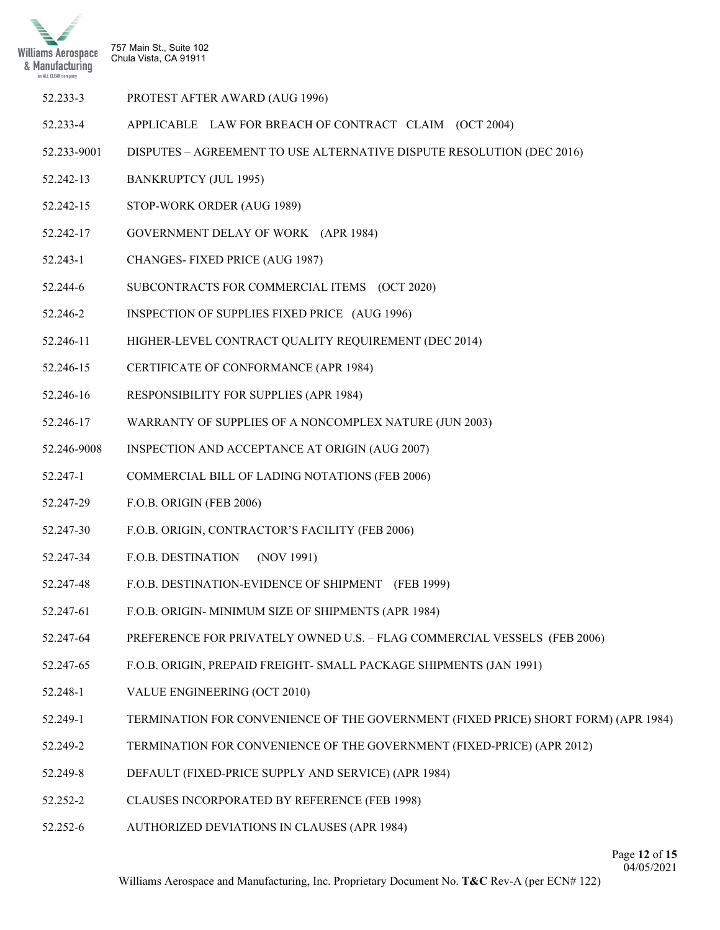

| 52.233-3 | PROTEST AFTER AWARD (AUG 1996) |  |
|----------|--------------------------------|--|
|----------|--------------------------------|--|

- 52.233-4 APPLICABLE LAW FOR BREACH OF CONTRACT CLAIM (OCT 2004)
- 52.233-9001 DISPUTES AGREEMENT TO USE ALTERNATIVE DISPUTE RESOLUTION (DEC 2016)
- 52.242-13 BANKRUPTCY (JUL 1995)
- 52.242-15 STOP-WORK ORDER (AUG 1989)
- 52.242-17 GOVERNMENT DELAY OF WORK (APR 1984)
- 52.243-1 CHANGES- FIXED PRICE (AUG 1987)
- 52.244-6 SUBCONTRACTS FOR COMMERCIAL ITEMS (OCT 2020)
- 52.246-2 INSPECTION OF SUPPLIES FIXED PRICE (AUG 1996)
- 52.246-11 HIGHER-LEVEL CONTRACT QUALITY REQUIREMENT (DEC 2014)
- 52.246-15 CERTIFICATE OF CONFORMANCE (APR 1984)
- 52.246-16 RESPONSIBILITY FOR SUPPLIES (APR 1984)
- 52.246-17 WARRANTY OF SUPPLIES OF A NONCOMPLEX NATURE (JUN 2003)
- 52.246-9008 INSPECTION AND ACCEPTANCE AT ORIGIN (AUG 2007)
- 52.247-1 COMMERCIAL BILL OF LADING NOTATIONS (FEB 2006)
- 52.247-29 F.O.B. ORIGIN (FEB 2006)
- 52.247-30 F.O.B. ORIGIN, CONTRACTOR'S FACILITY (FEB 2006)
- 52.247-34 F.O.B. DESTINATION (NOV 1991)
- 52.247-48 F.O.B. DESTINATION-EVIDENCE OF SHIPMENT (FEB 1999)
- 52.247-61 F.O.B. ORIGIN- MINIMUM SIZE OF SHIPMENTS (APR 1984)
- 52.247-64 PREFERENCE FOR PRIVATELY OWNED U.S. FLAG COMMERCIAL VESSELS (FEB 2006)
- 52.247-65 F.O.B. ORIGIN, PREPAID FREIGHT- SMALL PACKAGE SHIPMENTS (JAN 1991)
- 52.248-1 VALUE ENGINEERING (OCT 2010)
- 52.249-1 TERMINATION FOR CONVENIENCE OF THE GOVERNMENT (FIXED PRICE) SHORT FORM) (APR 1984)
- 52.249-2 TERMINATION FOR CONVENIENCE OF THE GOVERNMENT (FIXED-PRICE) (APR 2012)
- 52.249-8 DEFAULT (FIXED-PRICE SUPPLY AND SERVICE) (APR 1984)
- 52.252-2 CLAUSES INCORPORATED BY REFERENCE (FEB 1998)
- 52.252-6 AUTHORIZED DEVIATIONS IN CLAUSES (APR 1984)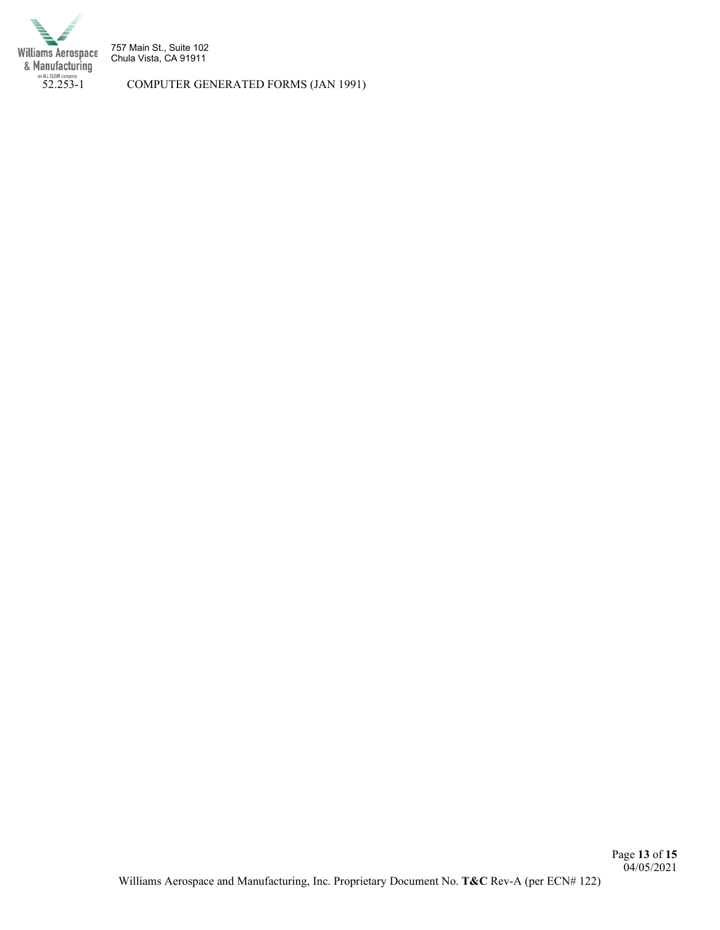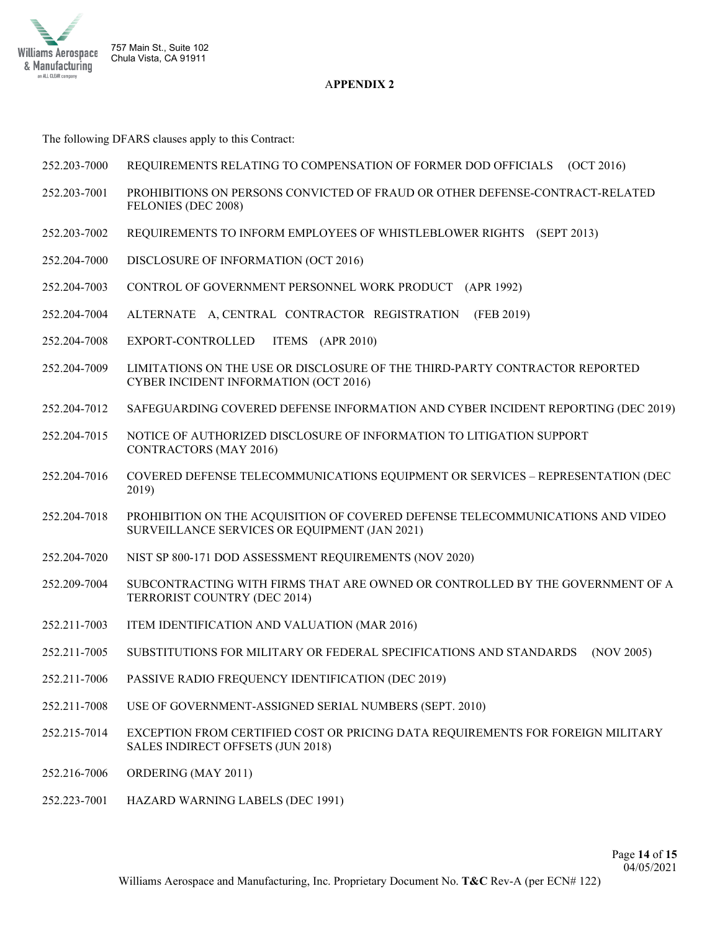

## A**PPENDIX 2**

The following DFARS clauses apply to this Contract:

- 252.203-7000 REQUIREMENTS RELATING TO COMPENSATION OF FORMER DOD OFFICIALS (OCT 2016)
- 252.203-7001 PROHIBITIONS ON PERSONS CONVICTED OF FRAUD OR OTHER DEFENSE-CONTRACT-RELATED FELONIES (DEC 2008)
- 252.203-7002 REQUIREMENTS TO INFORM EMPLOYEES OF WHISTLEBLOWER RIGHTS (SEPT 2013)
- 252.204-7000 DISCLOSURE OF INFORMATION (OCT 2016)
- 252.204-7003 CONTROL OF GOVERNMENT PERSONNEL WORK PRODUCT (APR 1992)
- 252.204-7004 ALTERNATE A, CENTRAL CONTRACTOR REGISTRATION (FEB 2019)
- 252.204-7008 EXPORT-CONTROLLED ITEMS (APR 2010)
- 252.204-7009 LIMITATIONS ON THE USE OR DISCLOSURE OF THE THIRD-PARTY CONTRACTOR REPORTED CYBER INCIDENT INFORMATION (OCT 2016)
- 252.204-7012 SAFEGUARDING COVERED DEFENSE INFORMATION AND CYBER INCIDENT REPORTING (DEC 2019)
- 252.204-7015 NOTICE OF AUTHORIZED DISCLOSURE OF INFORMATION TO LITIGATION SUPPORT CONTRACTORS (MAY 2016)
- 252.204-7016 COVERED DEFENSE TELECOMMUNICATIONS EQUIPMENT OR SERVICES REPRESENTATION (DEC 2019)
- 252.204-7018 PROHIBITION ON THE ACQUISITION OF COVERED DEFENSE TELECOMMUNICATIONS AND VIDEO SURVEILLANCE SERVICES OR EQUIPMENT (JAN 2021)
- 252.204-7020 NIST SP 800-171 DOD ASSESSMENT REQUIREMENTS (NOV 2020)
- 252.209-7004 SUBCONTRACTING WITH FIRMS THAT ARE OWNED OR CONTROLLED BY THE GOVERNMENT OF A TERRORIST COUNTRY (DEC 2014)
- 252.211-7003 ITEM IDENTIFICATION AND VALUATION (MAR 2016)
- 252.211-7005 SUBSTITUTIONS FOR MILITARY OR FEDERAL SPECIFICATIONS AND STANDARDS (NOV 2005)
- 252.211-7006 PASSIVE RADIO FREQUENCY IDENTIFICATION (DEC 2019)
- 252.211-7008 USE OF GOVERNMENT-ASSIGNED SERIAL NUMBERS (SEPT. 2010)
- 252.215-7014 EXCEPTION FROM CERTIFIED COST OR PRICING DATA REQUIREMENTS FOR FOREIGN MILITARY SALES INDIRECT OFFSETS (JUN 2018)
- 252.216-7006 ORDERING (MAY 2011)
- 252.223-7001 HAZARD WARNING LABELS (DEC 1991)